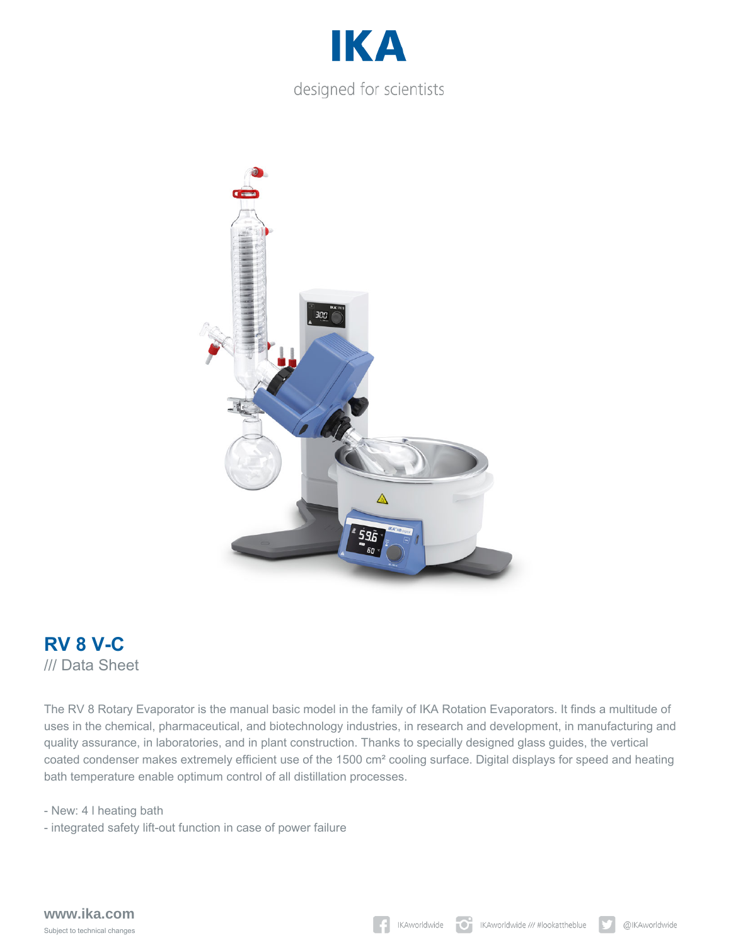





The RV 8 Rotary Evaporator is the manual basic model in the family of IKA Rotation Evaporators. It finds a multitude of uses in the chemical, pharmaceutical, and biotechnology industries, in research and development, in manufacturing and quality assurance, in laboratories, and in plant construction. Thanks to specially designed glass guides, the vertical coated condenser makes extremely efficient use of the 1500 cm² cooling surface. Digital displays for speed and heating bath temperature enable optimum control of all distillation processes.

- New: 4 l heating bath

- integrated safety lift-out function in case of power failure

**www.ika.com** Subject to technical changes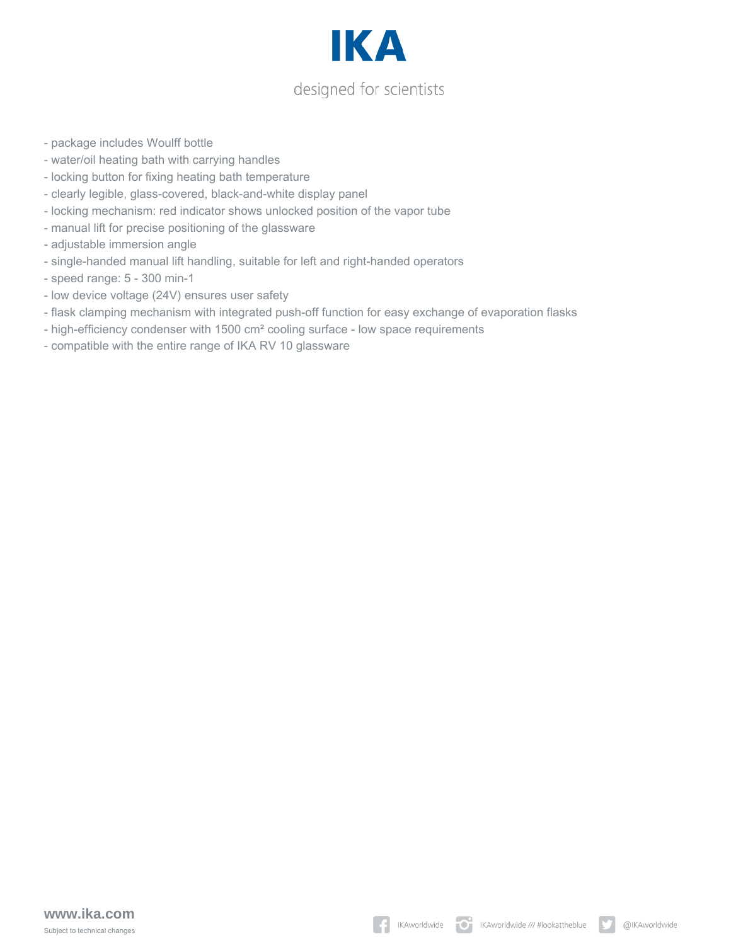

- package includes Woulff bottle
- water/oil heating bath with carrying handles
- locking button for fixing heating bath temperature
- clearly legible, glass-covered, black-and-white display panel
- locking mechanism: red indicator shows unlocked position of the vapor tube
- manual lift for precise positioning of the glassware
- adjustable immersion angle
- single-handed manual lift handling, suitable for left and right-handed operators
- speed range: 5 300 min-1
- low device voltage (24V) ensures user safety
- flask clamping mechanism with integrated push-off function for easy exchange of evaporation flasks
- high-efficiency condenser with 1500 cm² cooling surface low space requirements
- compatible with the entire range of IKA RV 10 glassware